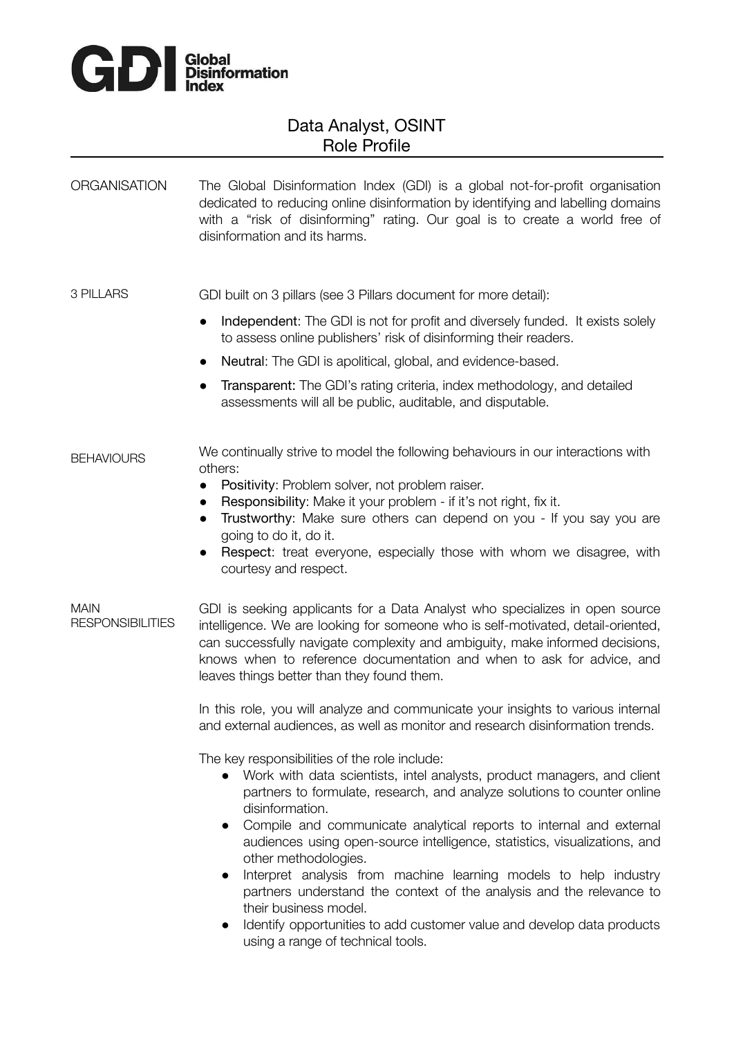

# Data Analyst, OSINT Role Profile

## ORGANISATION The Global Disinformation Index (GDI) is a global not-for-profit organisation dedicated to reducing online disinformation by identifying and labelling domains with a "risk of disinforming" rating. Our goal is to create a world free of disinformation and its harms.

3 PILLARS GDI built on 3 pillars (see 3 Pillars document for more detail):

- Independent: The GDI is not for profit and diversely funded. It exists solely to assess online publishers' risk of disinforming their readers.
- Neutral: The GDI is apolitical, global, and evidence-based.
- Transparent: The GDI's rating criteria, index methodology, and detailed assessments will all be public, auditable, and disputable.

**BEHAVIOURS** We continually strive to model the following behaviours in our interactions with others:

- Positivity: Problem solver, not problem raiser.
- Responsibility: Make it your problem if it's not right, fix it.
- Trustworthy: Make sure others can depend on you If you say you are going to do it, do it.
- Respect: treat everyone, especially those with whom we disagree, with courtesy and respect.

MAIN RESPONSIBILITIES GDI is seeking applicants for a Data Analyst who specializes in open source intelligence. We are looking for someone who is self-motivated, detail-oriented, can successfully navigate complexity and ambiguity, make informed decisions, knows when to reference documentation and when to ask for advice, and leaves things better than they found them.

> In this role, you will analyze and communicate your insights to various internal and external audiences, as well as monitor and research disinformation trends.

The key responsibilities of the role include:

- Work with data scientists, intel analysts, product managers, and client partners to formulate, research, and analyze solutions to counter online disinformation.
- Compile and communicate analytical reports to internal and external audiences using open-source intelligence, statistics, visualizations, and other methodologies.
- Interpret analysis from machine learning models to help industry partners understand the context of the analysis and the relevance to their business model.
- Identify opportunities to add customer value and develop data products using a range of technical tools.